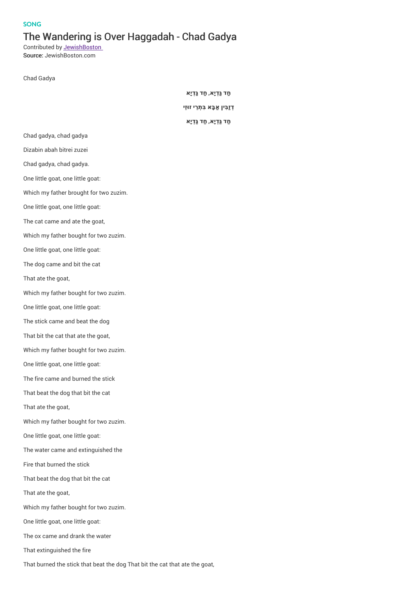## **SONG**

## The Wandering is Over Haggadah - Chad Gadya

Contributed by **JewishBoston** Source: JewishBoston.com

Chad Gadya

**חַד גַּ ְדיָא**, **חַד גַּ ְדיָא**

**ְדזַבִּין ַאבָּא בִּ ְת ֵרי זו ּזֵי**

**חַד גַּ ְדיָא**, **חַד גַּ ְדיָא**

Dizabin abah bitrei zuzei Chad gadya, chad gadya. One little goat, one little goat: Which my father brought for two zuzim. One little goat, one little goat:

Chad gadya, chad gadya

- The cat came and ate the goat,
- Which my father bought for two zuzim.
- One little goat, one little goat:
- The dog came and bit the cat
- That ate the goat,
- Which my father bought for two zuzim.
- One little goat, one little goat:
- The stick came and beat the dog
- That bit the cat that ate the goat,
- Which my father bought for two zuzim.
- One little goat, one little goat:
- The fire came and burned the stick
- That beat the dog that bit the cat
- That ate the goat,
- Which my father bought for two zuzim.
- One little goat, one little goat:
- The water came and extinguished the
- Fire that burned the stick
- That beat the dog that bit the cat
- That ate the goat,
- Which my father bought for two zuzim.
- One little goat, one little goat:
- The ox came and drank the water
- That extinguished the fire
- That burned the stick that beat the dog That bit the cat that ate the goat,